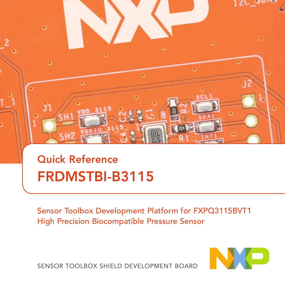

# Quick Reference FRDMSTBI-B3115

Sensor Toolbox Development Platform for FXPQ3115BVT1 High Precision Biocompatible Pressure Sensor



SENSOR TOOLBOX SHIELD DEVELOPMENT BOARD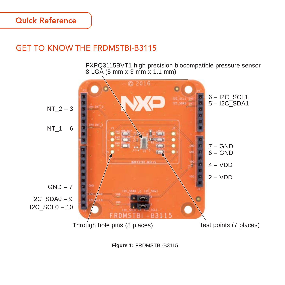### Quick Reference

# GET TO KNOW THE FRDMSTBI-B3115

FXPQ3115BVT1 high precision biocompatible pressure sensor 8 LGA (5 mm x 3 mm x 1.1 mm)



**Figure 1:** FRDMSTBI-B3115